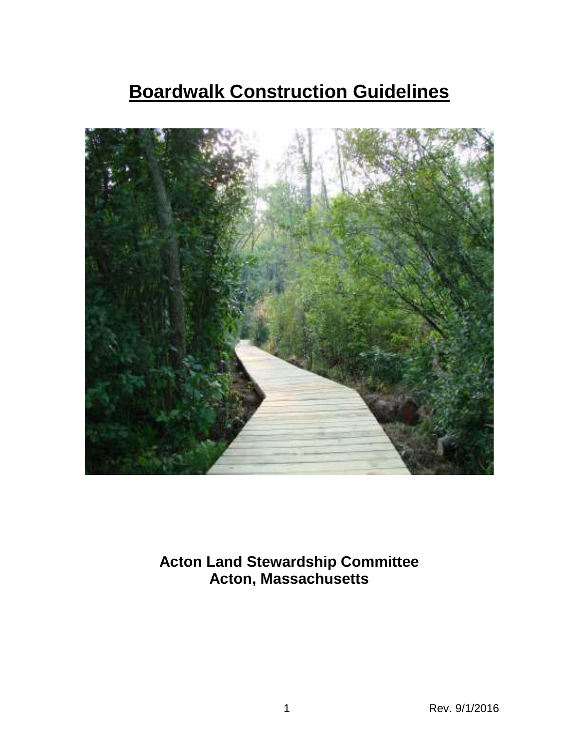# **Boardwalk Construction Guidelines**



**Acton Land Stewardship Committee Acton, Massachusetts**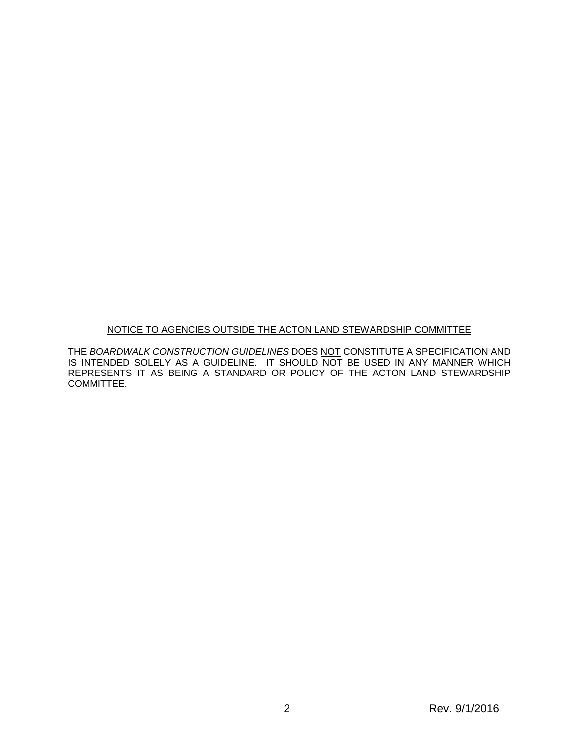#### NOTICE TO AGENCIES OUTSIDE THE ACTON LAND STEWARDSHIP COMMITTEE

THE *BOARDWALK CONSTRUCTION GUIDELINES* DOES NOT CONSTITUTE A SPECIFICATION AND IS INTENDED SOLELY AS A GUIDELINE. IT SHOULD NOT BE USED IN ANY MANNER WHICH REPRESENTS IT AS BEING A STANDARD OR POLICY OF THE ACTON LAND STEWARDSHIP COMMITTEE.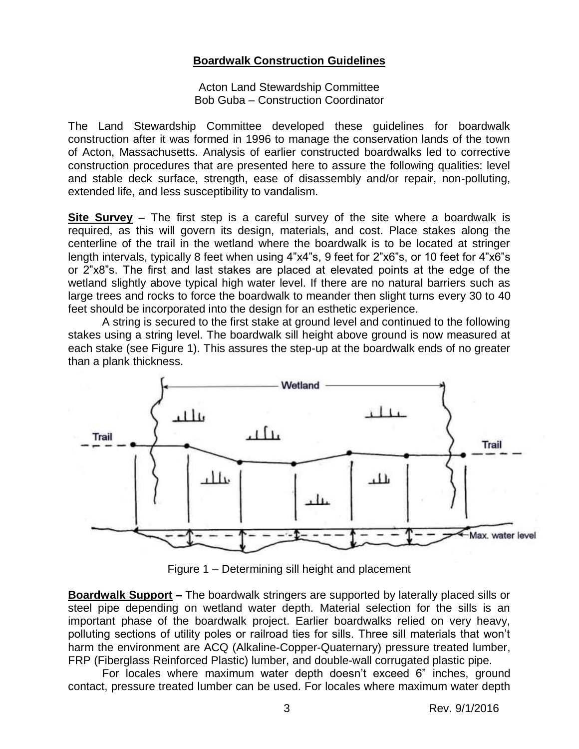### **Boardwalk Construction Guidelines**

Acton Land Stewardship Committee Bob Guba – Construction Coordinator

The Land Stewardship Committee developed these guidelines for boardwalk construction after it was formed in 1996 to manage the conservation lands of the town of Acton, Massachusetts. Analysis of earlier constructed boardwalks led to corrective construction procedures that are presented here to assure the following qualities: level and stable deck surface, strength, ease of disassembly and/or repair, non-polluting, extended life, and less susceptibility to vandalism.

**Site Survey** – The first step is a careful survey of the site where a boardwalk is required, as this will govern its design, materials, and cost. Place stakes along the centerline of the trail in the wetland where the boardwalk is to be located at stringer length intervals, typically 8 feet when using 4"x4"s, 9 feet for 2"x6"s, or 10 feet for 4"x6"s or 2"x8"s. The first and last stakes are placed at elevated points at the edge of the wetland slightly above typical high water level. If there are no natural barriers such as large trees and rocks to force the boardwalk to meander then slight turns every 30 to 40 feet should be incorporated into the design for an esthetic experience.

A string is secured to the first stake at ground level and continued to the following stakes using a string level. The boardwalk sill height above ground is now measured at each stake (see Figure 1). This assures the step-up at the boardwalk ends of no greater than a plank thickness.



Figure 1 – Determining sill height and placement

**Boardwalk Support –** The boardwalk stringers are supported by laterally placed sills or steel pipe depending on wetland water depth. Material selection for the sills is an important phase of the boardwalk project. Earlier boardwalks relied on very heavy, polluting sections of utility poles or railroad ties for sills. Three sill materials that won't harm the environment are ACQ (Alkaline-Copper-Quaternary) pressure treated lumber, FRP (Fiberglass Reinforced Plastic) lumber, and double-wall corrugated plastic pipe.

For locales where maximum water depth doesn't exceed 6" inches, ground contact, pressure treated lumber can be used. For locales where maximum water depth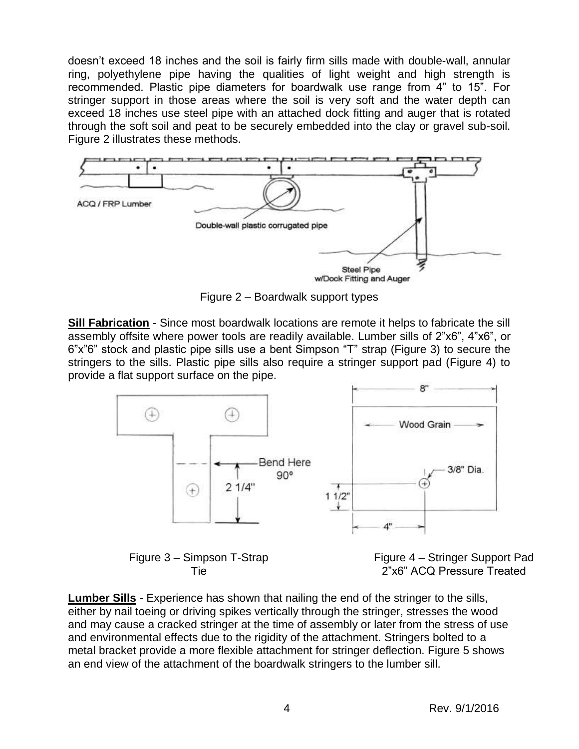doesn't exceed 18 inches and the soil is fairly firm sills made with double-wall, annular ring, polyethylene pipe having the qualities of light weight and high strength is recommended. Plastic pipe diameters for boardwalk use range from 4" to 15". For stringer support in those areas where the soil is very soft and the water depth can exceed 18 inches use steel pipe with an attached dock fitting and auger that is rotated through the soft soil and peat to be securely embedded into the clay or gravel sub-soil. Figure 2 illustrates these methods.



Figure 2 – Boardwalk support types

**Sill Fabrication** - Since most boardwalk locations are remote it helps to fabricate the sill assembly offsite where power tools are readily available. Lumber sills of 2"x6", 4"x6", or 6"x"6" stock and plastic pipe sills use a bent Simpson "T" strap (Figure 3) to secure the stringers to the sills. Plastic pipe sills also require a stringer support pad (Figure 4) to provide a flat support surface on the pipe.



Figure 3 – Simpson T-Strap Tie

Figure 4 – Stringer Support Pad 2"x6" ACQ Pressure Treated

**Lumber Sills** - Experience has shown that nailing the end of the stringer to the sills, either by nail toeing or driving spikes vertically through the stringer, stresses the wood and may cause a cracked stringer at the time of assembly or later from the stress of use and environmental effects due to the rigidity of the attachment. Stringers bolted to a metal bracket provide a more flexible attachment for stringer deflection. Figure 5 shows an end view of the attachment of the boardwalk stringers to the lumber sill.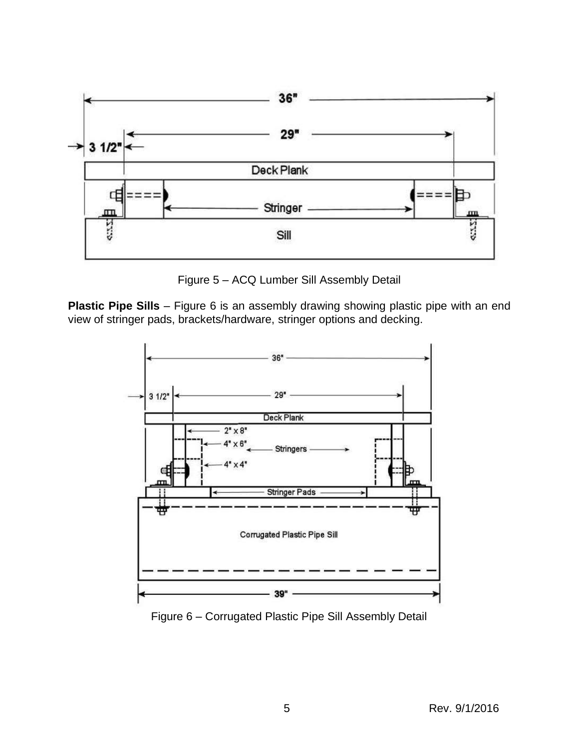

Figure 5 – ACQ Lumber Sill Assembly Detail

**Plastic Pipe Sills** – Figure 6 is an assembly drawing showing plastic pipe with an end view of stringer pads, brackets/hardware, stringer options and decking.



Figure 6 – Corrugated Plastic Pipe Sill Assembly Detail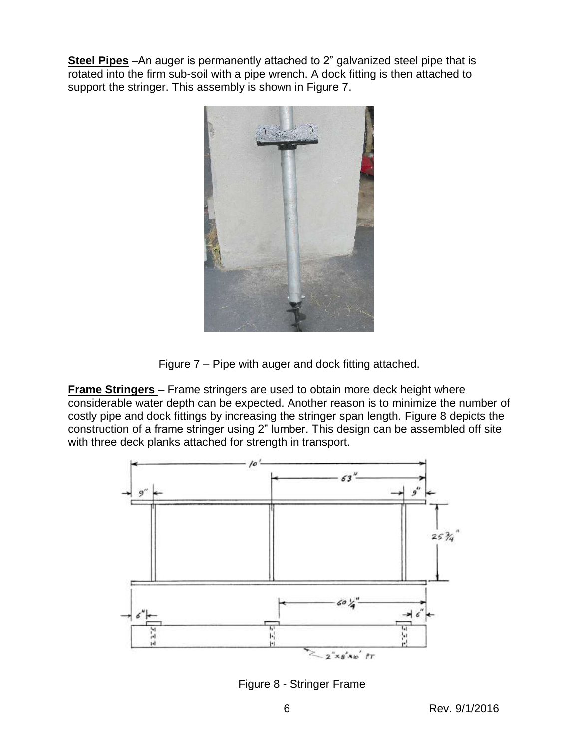**Steel Pipes** –An auger is permanently attached to 2" galvanized steel pipe that is rotated into the firm sub-soil with a pipe wrench. A dock fitting is then attached to support the stringer. This assembly is shown in Figure 7.



Figure 7 – Pipe with auger and dock fitting attached.

**Frame Stringers** – Frame stringers are used to obtain more deck height where considerable water depth can be expected. Another reason is to minimize the number of costly pipe and dock fittings by increasing the stringer span length. Figure 8 depicts the construction of a frame stringer using 2" lumber. This design can be assembled off site with three deck planks attached for strength in transport.



Figure 8 - Stringer Frame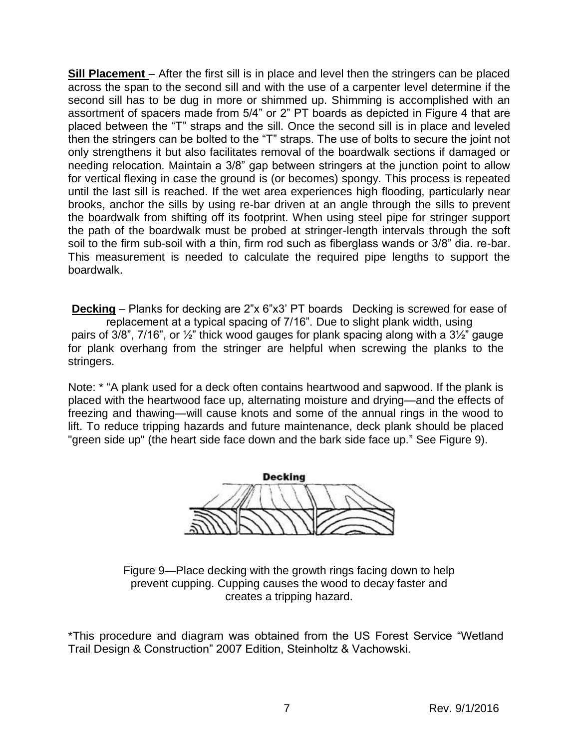**Sill Placement** – After the first sill is in place and level then the stringers can be placed across the span to the second sill and with the use of a carpenter level determine if the second sill has to be dug in more or shimmed up. Shimming is accomplished with an assortment of spacers made from 5/4" or 2" PT boards as depicted in Figure 4 that are placed between the "T" straps and the sill. Once the second sill is in place and leveled then the stringers can be bolted to the "T" straps. The use of bolts to secure the joint not only strengthens it but also facilitates removal of the boardwalk sections if damaged or needing relocation. Maintain a 3/8" gap between stringers at the junction point to allow for vertical flexing in case the ground is (or becomes) spongy. This process is repeated until the last sill is reached. If the wet area experiences high flooding, particularly near brooks, anchor the sills by using re-bar driven at an angle through the sills to prevent the boardwalk from shifting off its footprint. When using steel pipe for stringer support the path of the boardwalk must be probed at stringer-length intervals through the soft soil to the firm sub-soil with a thin, firm rod such as fiberglass wands or 3/8" dia. re-bar. This measurement is needed to calculate the required pipe lengths to support the boardwalk.

**Decking** – Planks for decking are 2"x 6"x3' PT boards Decking is screwed for ease of replacement at a typical spacing of 7/16". Due to slight plank width, using pairs of 3/8", 7/16", or ½" thick wood gauges for plank spacing along with a 3½" gauge for plank overhang from the stringer are helpful when screwing the planks to the stringers.

Note: \* "A plank used for a deck often contains heartwood and sapwood. If the plank is placed with the heartwood face up, alternating moisture and drying—and the effects of freezing and thawing—will cause knots and some of the annual rings in the wood to lift. To reduce tripping hazards and future maintenance, deck plank should be placed "green side up" (the heart side face down and the bark side face up." See Figure 9).



Figure 9—Place decking with the growth rings facing down to help prevent cupping. Cupping causes the wood to decay faster and creates a tripping hazard.

\*This procedure and diagram was obtained from the US Forest Service "Wetland Trail Design & Construction" 2007 Edition, Steinholtz & Vachowski.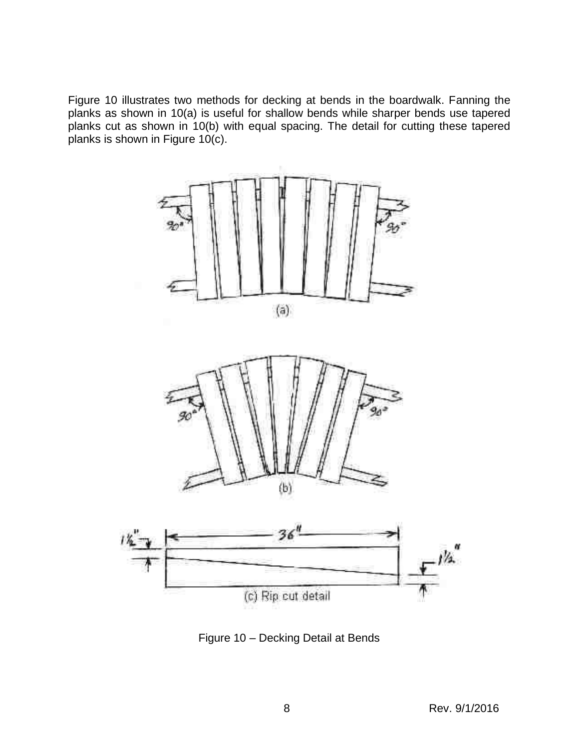Figure 10 illustrates two methods for decking at bends in the boardwalk. Fanning the planks as shown in 10(a) is useful for shallow bends while sharper bends use tapered planks cut as shown in 10(b) with equal spacing. The detail for cutting these tapered planks is shown in Figure 10(c).



Figure 10 – Decking Detail at Bends